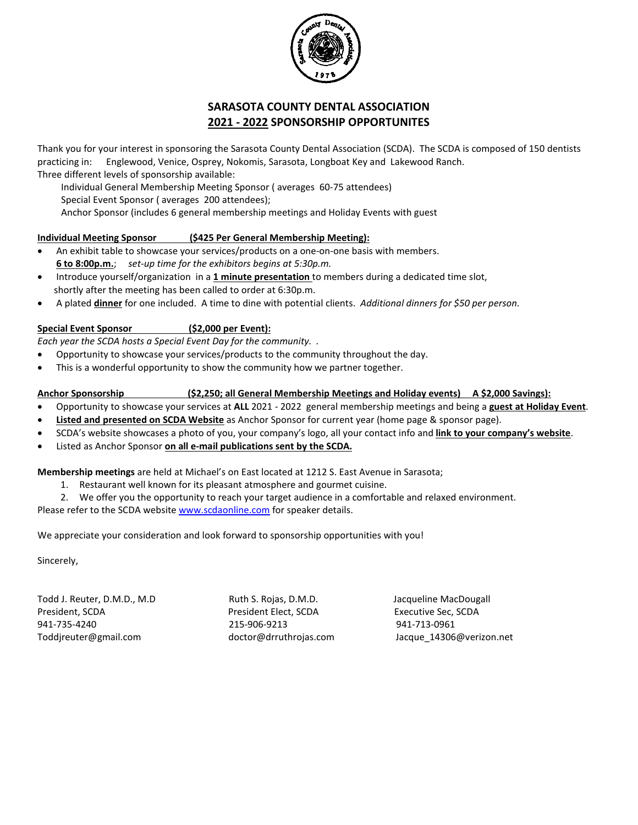

# **SARASOTA COUNTY DENTAL ASSOCIATION 2021 - 2022 SPONSORSHIP OPPORTUNITES**

Thank you for your interest in sponsoring the Sarasota County Dental Association (SCDA). The SCDA is composed of 150 dentists practicing in: Englewood, Venice, Osprey, Nokomis, Sarasota, Longboat Key and Lakewood Ranch. Three different levels of sponsorship available:

Individual General Membership Meeting Sponsor ( averages 60-75 attendees)

Special Event Sponsor ( averages 200 attendees);

Anchor Sponsor (includes 6 general membership meetings and Holiday Events with guest

#### **Individual Meeting Sponsor (\$425 Per General Membership Meeting):**

- An exhibit table to showcase your services/products on a one-on-one basis with members. **6 to 8:00p.m.**; *set-up time for the exhibitors begins at 5:30p.m.*
- Introduce yourself/organization in a **1 minute presentation** to members during a dedicated time slot, shortly after the meeting has been called to order at 6:30p.m.
- A plated **dinner** for one included. A time to dine with potential clients. *Additional dinners for \$50 per person.*

### **Special Event Sponsor (\$2,000 per Event):**

*Each year the SCDA hosts a Special Event Day for the community. .* 

- Opportunity to showcase your services/products to the community throughout the day.
- This is a wonderful opportunity to show the community how we partner together.

#### **Anchor Sponsorship (\$2,250; all General Membership Meetings and Holiday events) A \$2,000 Savings):**

- Opportunity to showcase your services at **ALL** 2021 2022 general membership meetings and being a **guest at Holiday Event**.
- **Listed and presented on SCDA Website** as Anchor Sponsor for current year (home page & sponsor page).
- SCDA's website showcases a photo of you, your company's logo, all your contact info and **link to your company's website**.
- Listed as Anchor Sponsor **on all e-mail publications sent by the SCDA.**

**Membership meetings** are held at Michael's on East located at 1212 S. East Avenue in Sarasota;

- 1. Restaurant well known for its pleasant atmosphere and gourmet cuisine.
- 2. We offer you the opportunity to reach your target audience in a comfortable and relaxed environment.

Please refer to the SCDA websit[e www.scdaonline.com](http://www.scdaonline.com/) for speaker details.

We appreciate your consideration and look forward to sponsorship opportunities with you!

Sincerely,

Todd J. Reuter, D.M.D., M.D Ruth S. Rojas, D.M.D. Jacqueline MacDougall President, SCDA President Elect, SCDA Executive Sec, SCDA 941-735-4240 215-906-9213 941-713-0961 Toddjreuter@gmail.com doctor@drruthrojas.com Jacque 14306@verizon.net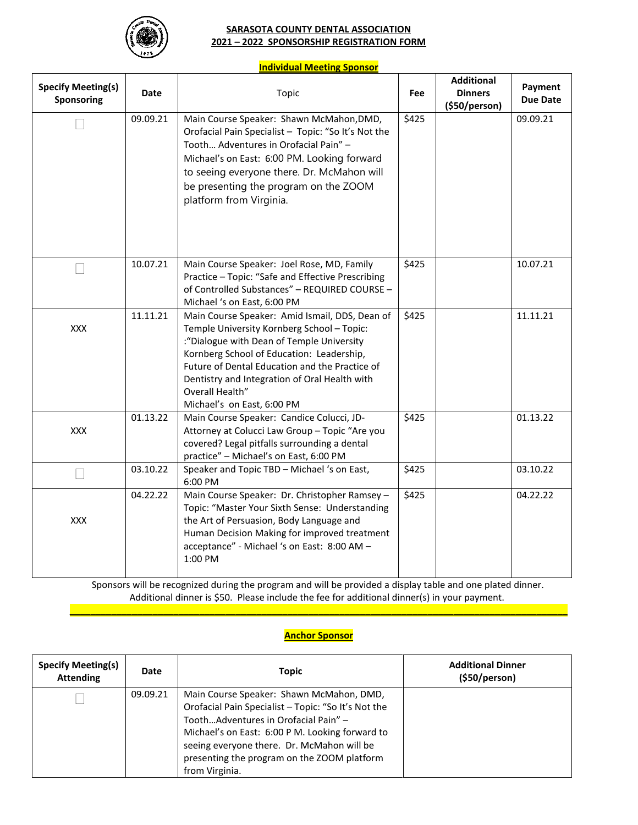

#### **SARASOTA COUNTY DENTAL ASSOCIATION 2021 – 2022 SPONSORSHIP REGISTRATION FORM**

#### **Individual Meeting Sponsor**

| <b>Specify Meeting(s)</b><br><b>Sponsoring</b> | <b>Date</b> | Topic                                                                                                                                                                                                                                                                                                                                      | Fee   | <b>Additional</b><br><b>Dinners</b><br>(\$50/person) | Payment<br><b>Due Date</b> |
|------------------------------------------------|-------------|--------------------------------------------------------------------------------------------------------------------------------------------------------------------------------------------------------------------------------------------------------------------------------------------------------------------------------------------|-------|------------------------------------------------------|----------------------------|
|                                                | 09.09.21    | Main Course Speaker: Shawn McMahon, DMD,<br>Orofacial Pain Specialist - Topic: "So It's Not the<br>Tooth Adventures in Orofacial Pain" -<br>Michael's on East: 6:00 PM. Looking forward<br>to seeing everyone there. Dr. McMahon will<br>be presenting the program on the ZOOM<br>platform from Virginia.                                  | \$425 |                                                      | 09.09.21                   |
|                                                | 10.07.21    | Main Course Speaker: Joel Rose, MD, Family<br>Practice - Topic: "Safe and Effective Prescribing<br>of Controlled Substances" - REQUIRED COURSE -<br>Michael 's on East, 6:00 PM                                                                                                                                                            | \$425 |                                                      | 10.07.21                   |
| XXX                                            | 11.11.21    | Main Course Speaker: Amid Ismail, DDS, Dean of<br>Temple University Kornberg School - Topic:<br>:"Dialogue with Dean of Temple University<br>Kornberg School of Education: Leadership,<br>Future of Dental Education and the Practice of<br>Dentistry and Integration of Oral Health with<br>Overall Health"<br>Michael's on East, 6:00 PM | \$425 |                                                      | 11.11.21                   |
| <b>XXX</b>                                     | 01.13.22    | Main Course Speaker: Candice Colucci, JD-<br>\$425<br>Attorney at Colucci Law Group - Topic "Are you<br>covered? Legal pitfalls surrounding a dental<br>practice" - Michael's on East, 6:00 PM                                                                                                                                             |       |                                                      | 01.13.22                   |
|                                                | 03.10.22    | Speaker and Topic TBD - Michael 's on East,<br>6:00 PM                                                                                                                                                                                                                                                                                     | \$425 |                                                      | 03.10.22                   |
| XXX                                            | 04.22.22    | \$425<br>Main Course Speaker: Dr. Christopher Ramsey -<br>Topic: "Master Your Sixth Sense: Understanding<br>the Art of Persuasion, Body Language and<br>Human Decision Making for improved treatment<br>acceptance" - Michael 's on East: 8:00 AM -<br>1:00 PM                                                                             |       | 04.22.22                                             |                            |

Sponsors will be recognized during the program and will be provided a display table and one plated dinner. Additional dinner is \$50. Please include the fee for additional dinner(s) in your payment. **\_\_\_\_\_\_\_\_\_\_\_\_\_\_\_\_\_\_\_\_\_\_\_\_\_\_\_\_\_\_\_\_\_\_\_\_\_\_\_\_\_\_\_\_\_\_\_\_\_\_\_\_\_\_\_\_\_\_\_\_\_\_\_\_\_\_\_\_\_\_\_\_\_\_\_\_\_\_\_\_\_\_\_\_\_\_\_\_\_\_\_\_\_\_\_\_**

## **Anchor Sponsor**

| <b>Specify Meeting(s)</b><br><b>Attending</b> | Date     | <b>Topic</b>                                                                                                                                                                                                                                                                                              | <b>Additional Dinner</b><br>(S50/person) |
|-----------------------------------------------|----------|-----------------------------------------------------------------------------------------------------------------------------------------------------------------------------------------------------------------------------------------------------------------------------------------------------------|------------------------------------------|
|                                               | 09.09.21 | Main Course Speaker: Shawn McMahon, DMD,<br>Orofacial Pain Specialist - Topic: "So It's Not the<br>ToothAdventures in Orofacial Pain" -<br>Michael's on East: 6:00 P M. Looking forward to<br>seeing everyone there. Dr. McMahon will be<br>presenting the program on the ZOOM platform<br>from Virginia. |                                          |